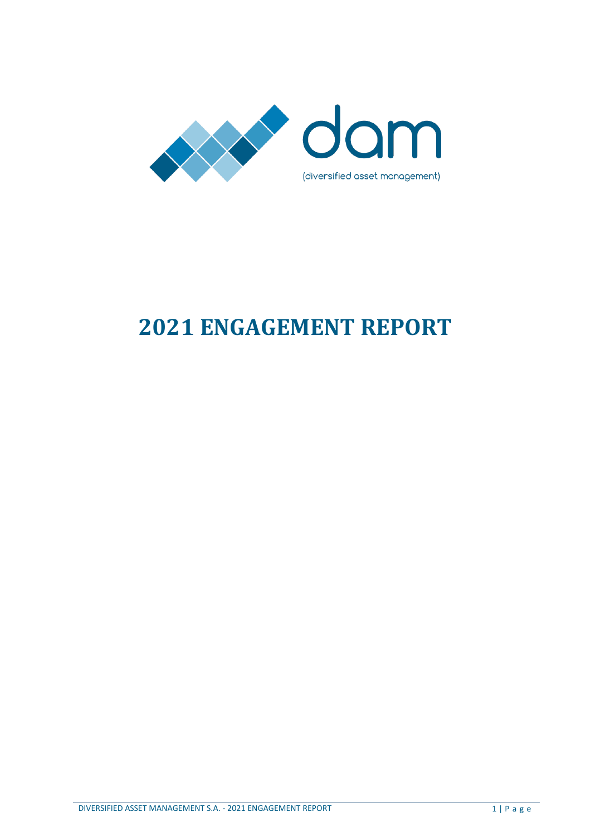

# **2021 ENGAGEMENT REPORT**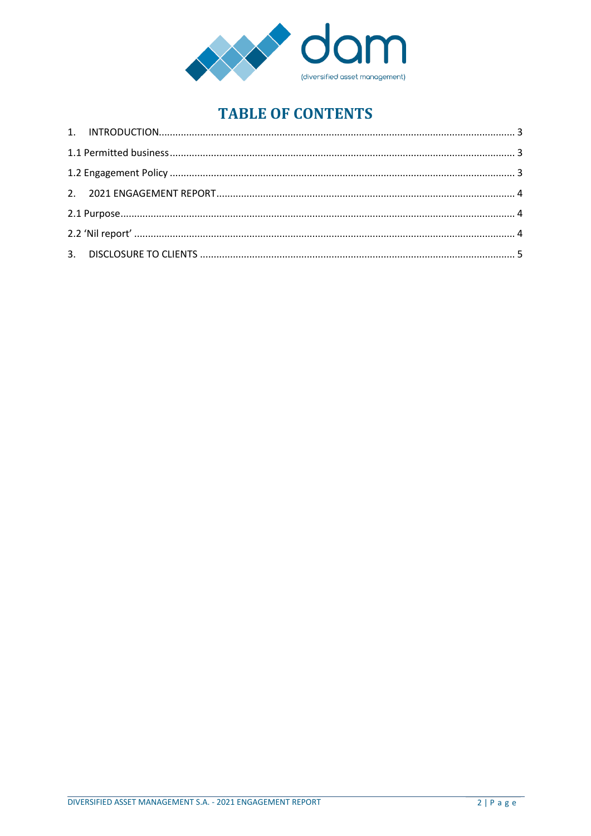

# **TABLE OF CONTENTS**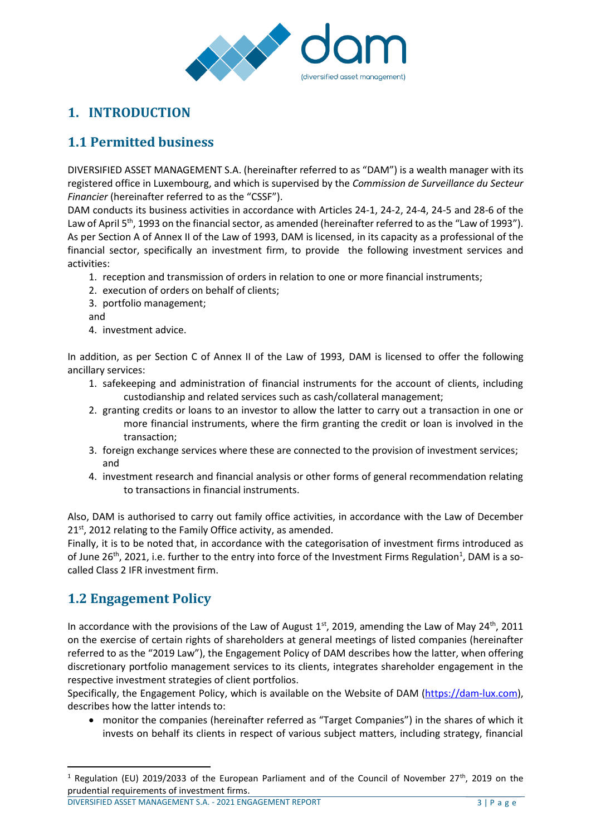

# <span id="page-2-0"></span>**1. INTRODUCTION**

# <span id="page-2-1"></span>**1.1 Permitted business**

DIVERSIFIED ASSET MANAGEMENT S.A. (hereinafter referred to as "DAM") is a wealth manager with its registered office in Luxembourg, and which is supervised by the *Commission de Surveillance du Secteur Financier* (hereinafter referred to as the "CSSF").

DAM conducts its business activities in accordance with Articles 24-1, 24-2, 24-4, 24-5 and 28-6 of the Law of April 5<sup>th</sup>, 1993 on the financial sector, as amended (hereinafter referred to as the "Law of 1993"). As per Section A of Annex II of the Law of 1993, DAM is licensed, in its capacity as a professional of the financial sector, specifically an investment firm, to provide the following investment services and activities:

- 1. reception and transmission of orders in relation to one or more financial instruments;
- 2. execution of orders on behalf of clients;
- 3. portfolio management;
- and
- 4. investment advice.

In addition, as per Section C of Annex II of the Law of 1993, DAM is licensed to offer the following ancillary services:

- 1. safekeeping and administration of financial instruments for the account of clients, including custodianship and related services such as cash/collateral management;
- 2. granting credits or loans to an investor to allow the latter to carry out a transaction in one or more financial instruments, where the firm granting the credit or loan is involved in the transaction;
- 3. foreign exchange services where these are connected to the provision of investment services; and
- 4. investment research and financial analysis or other forms of general recommendation relating to transactions in financial instruments.

Also, DAM is authorised to carry out family office activities, in accordance with the Law of December  $21<sup>st</sup>$ , 2012 relating to the Family Office activity, as amended.

Finally, it is to be noted that, in accordance with the categorisation of investment firms introduced as of June 26<sup>th</sup>, 2021, i.e. further to the entry into force of the Investment Firms Regulation<sup>1</sup>, DAM is a socalled Class 2 IFR investment firm.

# <span id="page-2-2"></span>**1.2 Engagement Policy**

 $\overline{a}$ 

In accordance with the provisions of the Law of August  $1<sup>st</sup>$ , 2019, amending the Law of May 24<sup>th</sup>, 2011 on the exercise of certain rights of shareholders at general meetings of listed companies (hereinafter referred to as the "2019 Law"), the Engagement Policy of DAM describes how the latter, when offering discretionary portfolio management services to its clients, integrates shareholder engagement in the respective investment strategies of client portfolios.

Specifically, the Engagement Policy, which is available on the Website of DAM [\(https://dam-lux.com\)](https://dam-lux.com/), describes how the latter intends to:

 monitor the companies (hereinafter referred as "Target Companies") in the shares of which it invests on behalf its clients in respect of various subject matters, including strategy, financial

<sup>1</sup> Regulation (EU) 2019/2033 of the European Parliament and of the Council of November 27<sup>th</sup>, 2019 on the prudential requirements of investment firms.

DIVERSIFIED ASSET MANAGEMENT S.A. - 2021 ENGAGEMENT REPORT 3 | P a g e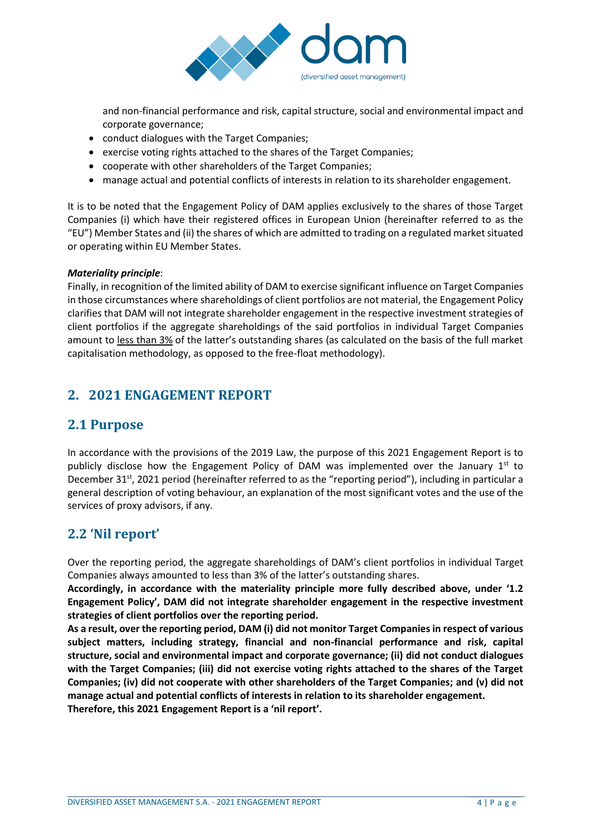

and non-financial performance and risk, capital structure, social and environmental impact and corporate governance;

- conduct dialogues with the Target Companies;
- exercise voting rights attached to the shares of the Target Companies;
- cooperate with other shareholders of the Target Companies;
- manage actual and potential conflicts of interests in relation to its shareholder engagement.

It is to be noted that the Engagement Policy of DAM applies exclusively to the shares of those Target Companies (i) which have their registered offices in European Union (hereinafter referred to as the "EU") Member States and (ii) the shares of which are admitted to trading on a regulated market situated or operating within EU Member States.

#### *Materiality principle*:

Finally, in recognition of the limited ability of DAM to exercise significant influence on Target Companies in those circumstances where shareholdings of client portfolios are not material, the Engagement Policy clarifies that DAM will not integrate shareholder engagement in the respective investment strategies of client portfolios if the aggregate shareholdings of the said portfolios in individual Target Companies amount to less than 3% of the latter's outstanding shares (as calculated on the basis of the full market capitalisation methodology, as opposed to the free-float methodology).

## <span id="page-3-0"></span>**2. 2021 ENGAGEMENT REPORT**

### <span id="page-3-1"></span>**2.1 Purpose**

In accordance with the provisions of the 2019 Law, the purpose of this 2021 Engagement Report is to publicly disclose how the Engagement Policy of DAM was implemented over the January  $1^{st}$  to December 31<sup>st</sup>, 2021 period (hereinafter referred to as the "reporting period"), including in particular a general description of voting behaviour, an explanation of the most significant votes and the use of the services of proxy advisors, if any.

### <span id="page-3-2"></span>**2.2 'Nil report'**

Over the reporting period, the aggregate shareholdings of DAM's client portfolios in individual Target Companies always amounted to less than 3% of the latter's outstanding shares.

**Accordingly, in accordance with the materiality principle more fully described above, under '1.2 Engagement Policy', DAM did not integrate shareholder engagement in the respective investment strategies of client portfolios over the reporting period.**

**As a result, over the reporting period, DAM (i) did not monitor Target Companies in respect of various subject matters, including strategy, financial and non-financial performance and risk, capital structure, social and environmental impact and corporate governance; (ii) did not conduct dialogues with the Target Companies; (iii) did not exercise voting rights attached to the shares of the Target Companies; (iv) did not cooperate with other shareholders of the Target Companies; and (v) did not manage actual and potential conflicts of interests in relation to its shareholder engagement. Therefore, this 2021 Engagement Report is a 'nil report'.**